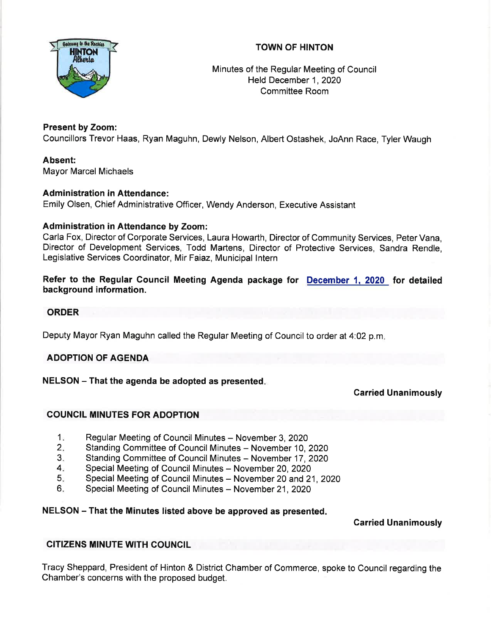## TOWN OF HINTON



## Minutes of the Regular Meeting of Council Held December 1, 2020 Committee Room

## Present by Zoom:

Councillors Trevor Haas, Ryan Maguhn, Dewly Nelson, Albert Ostashek, JoAnn Race, Tyler Waugh

## Absent:

Mayor Marcel Michaels

## Administration in Attendance:

Emily Olsen, Chief Administrative Officer, Wendy Anderson, Executive Assistant

## Administration in Attendance by Zoom:

Carla Fox, Director of Corporate Services, Laura Howarth, Director of Community Services, Peter Vana, Director of Development Services, Todd Martens, Director of Protective Services, Sandra Rendle, Legislative Services Coordinator, Mir Faiaz, Municipal lntern

Refer to the Regular Council Meeting Agenda package for <u>December 1, 2020 </u> for detailed background information.

## ORDER

Deputy Mayor Ryan Maguhn called the Regular Meeting of Council to order at 4:02 p.m

## ADOPTION OF AGENDA

## $NELSON - That$  the agenda be adopted as presented.

Garried Unanimously

## COUNCIL MINUTES FOR ADOPTION

- Regular Meeting of Council Minutes November 3, 2020  $1<sub>z</sub>$
- Standing Committee of Council Minutes November 10, 2020  $2<sub>-</sub>$
- Standing Committee of Council Minutes November 17, 2020 3.
- Special Meeting of Council Minutes November 20, 2020  $4.$
- Special Meeting of Council Minutes November 20 and 21, 2020 5
- Special Meeting of Council Minutes November 21, 2020 6

## NELSON - That the Minutes listed above be approved as presented

Carried Unanimously

## CITIZENS MINUTE WITH COUNCIL

Tracy Sheppard, President of Hinton & District Chamber of Commerce, spoke to Council regarding the Chamber's concerns with the proposed budget.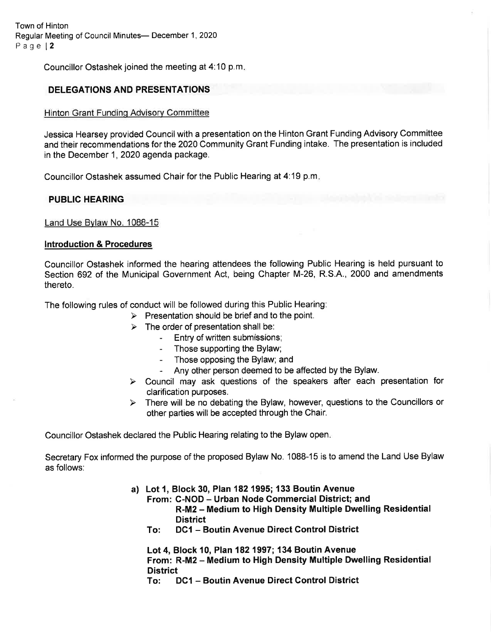Town of Hinton Regular Meeting of Council Minutes- December 1, 2020 Page l2

Councillor Ostashek joined the meeting at 4:10 p.m

## DELEGATIONS AND PRESENTATIONS

#### Hinton Grant Fundinq Advisorv Committee

Jessica Hearsey provided Councilwith a presentation on the Hinton Grant Funding Advisory Committee and their recommendations for the 2020 Community Grant Funding intake. The presentation is included in the December 1,2020 agenda package.

Councillor Ostashek assumed Chair for the Public Hearing at 4:19 p.m

#### PUBLIC HEARING

Land Use Bvlaw No. 1088-15

#### lntroduction & Procedures

Councillor Ostashek informed the hearing attendees the following Public Hearing is held pursuant to Section 692 of the Municipal Government Act, being Chapter M-26, R.S.A., 2000 and amendments thereto.

The following rules of conduct will be followed during this Public Hearing:

- $\triangleright$  Presentation should be brief and to the point.
- $\geq$  The order of presentation shall be:<br>Entry of written submissions;
	-
	- Those supporting the Bylaw;
	- Those opposing the Bylaw; and
	-
- Any other person deemed to be affected by the Bylaw.<br>
> Council may ask questions of the speakers after each presentation for clarification purposes.
- $\triangleright$  There will be no debating the Bylaw, however, questions to the Councillors or other parties will be accepted through the Chair.

Councillor Ostashek declared the Public Hearing relating to the Bylaw open

Secretary Fox informed the purpose of the proposed Bylaw No. 1088-15 is to amend the Land Use Bylaw as follows:

- a) Lot 1, Block 30, Plan 182 1995; 133 Boutin Avenue
	- From: C-NOD Urban Node Commercial District; and R-M2 - Medium to High Density Multiple Dwelling Residential
	- To: DC1 Boutin Avenue Direct Control District

Lot 4, Block 10, Plan 182 1997; 134 Boutin Avenue From: R-M2 – Medium to High Density Multiple Dwelling Residential<br>District

To: DC1 - Boutin Avenue Direct Control District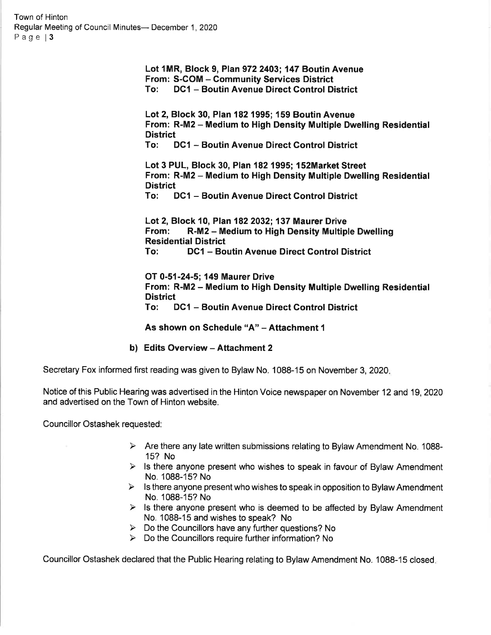Town of Hinton Regular Meeting of Council Minutes- December 1, 2020<br>Page | 3

> Lot 1MR, Block 9, Plan 972 2403; 147 Boutin Avenue From: S-COM - Community Services District<br>To: DC1 - Boutin Avenue Direct Control District

Lot 2, Block 30, Plan 182 1995; 159 Boutin Avenue From: R-M2 – Medium to High Density Multiple Dwelling Residential<br>District

To: DC1 - Boutin Avenue Direct Control District

Lot 3 PUL, Block 30, Plan 182 1995; 152Market Street From: R-M2 - Medium to High Density Multiple Dwelling Residential<br>District

To: DC1 - Boutin Avenue Direct Control District

Lot 2, Block 10, Plan 182 2032; 137 Maurer Drive<br>From: R-M2 – Medium to High Density Multiple Dwelling<br>Residential District To: DC1 - Boutin Avenue Direct Control District

OT 0-51-24-5;149 Maurer Drive From: R-M2 - Medium to High Density Multiple Dwelling Residential To: DC1 - Boutin Avenue Direct Control District

As shown on Schedule "A" - Attachment 1

#### b) Edits Overview - Attachment 2

Secretary Fox informed first reading was given to Bylaw No. 1088-15 on November 3, 2020.

Notice of this Public Hearing was advertised in the Hinton Voice newspaper on November 12 and 19,2020 and advertised on the Town of Hinton website.

Councillor Ostashek requested:

- $\triangleright$  Are there any late written submissions relating to Bylaw Amendment No. 1088-15? No
- $\triangleright$  Is there anyone present who wishes to speak in favour of Bylaw Amendment No. 1088-15? No
- $\triangleright$  Is there anyone present who wishes to speak in opposition to Bylaw Amendment No. 1088-15? No
- $\triangleright$  Is there anyone present who is deemed to be affected by Bylaw Amendment No. 1088-15 and wishes to speak? No
- $\triangleright$  Do the Councillors have any further questions? No
- $\triangleright$  Do the Councillors require further information? No

Councillor Ostashek declared that the Public Hearing relating to Bylaw Amendment No. 1088-15 closed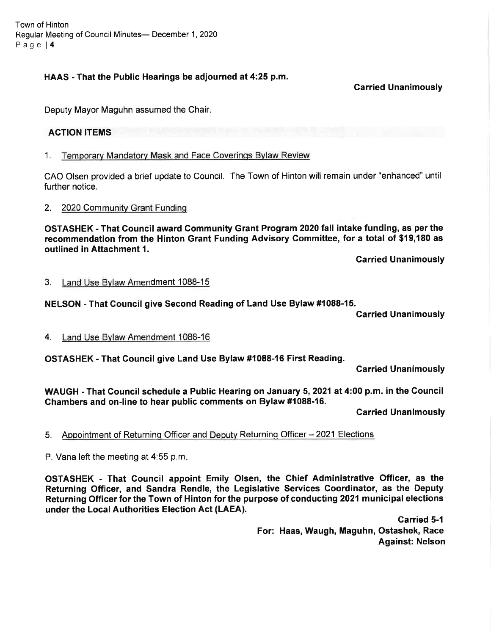Town of Hinton Regular Meeting of Council Minutes- December 1, 2020 Page l4

## HAAS - That the Public Hearings be adjourned at 4:25 p.m.

Garried Unanimously

Deputy Mayor Maguhn assumed the Chair.

## ACTION ITEMS

1. Temporarv Mandatorv Mask and Face Coverinqs Bvlaw Review

CAO Olsen provided a brief update to Council. The Town of Hinton will remain under "enhanced" until further notice.

#### 2. 2020 Community Grant Funding

OSTASHEK - That Council award Community Grant Program 2020 fall intake funding, as per the recommendation from the Hinton Grant Funding Advisory Gommittee, for a total of \$19,180 as outlined in Attachment 1.

Garried Unanimously

#### 3. Land Use Bvlaw Amendment 1088-15

## NELSON - That Gouncil give Second Reading of Land Use Bylaw #1088-15.

Carried Unanimously

4. Land Use Bvlaw Amendment 1088-16

OSTASHEK - That Gouncil give Land Use Bylaw #1088-16 First Reading.

Garried Unanimously

WAUGH - That Gouncil schedule a Public Hearing on January 5,2021 at 4:00 p.m. in the Gouncil Chambers and on-line to hear public comments on Bylaw #1088-16.

Carried Unanimously

5. Appointment of Returning Officer and Deputy Returning Officer - 2021 Elections

P. Vana left the meeting at 4:55 p.m

OSTASHEK - That Gouncil appoint Emily Olsen, the Ghief Administrative Officer, as the Returning Officer, and Sandra Rendle, the Legislative Services Goordinator, as the Deputy Returning Officer for the Town of Hinton for the purpose of conducting 2021 municipal elections under the Local Authorities Election Act (LAEA).

> Garried 5-1 For: Haas, Waugh, Maguhn, Ostashek, Race Against: Nelson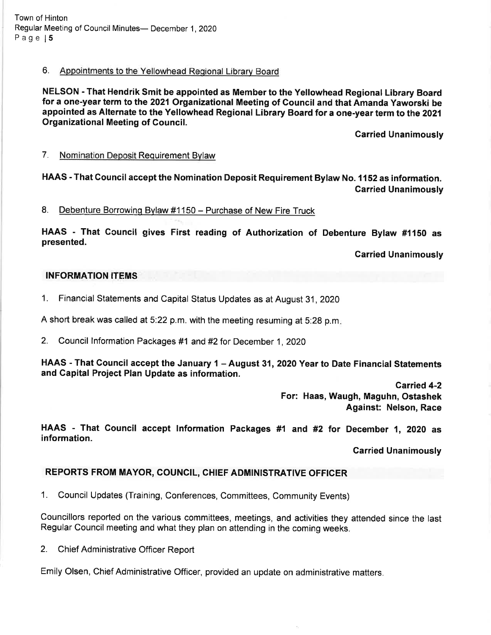Town of Hinton Regular Meeting of Council Minutes- December 1, 2020 Page 15

## 6. Appointments to the Yellowhead Reoional Librarv Board

NELSON - That Hendrik Smit be appointed as Member to the Yellowhead Regional Library Board for a one-year term to the 2021 Organizational Meeting of Council and that Amanda Yaworski be appointed as Alternate to the Yellowhead Regional Library Board for a one-year term to the 2021 Organizational Meeting of Council.

Carried Unanimously

7. Nomination Deposit Requirement Bvlaw

HAAS - That Council accept the Nomination Deposit Requirement Bylaw No. 1152 as information. Carried Unanimously

8. Debenture Borrowing Bylaw #1150 - Purchase of New Fire Truck

HAAS - That Gouncil gives First reading of Authorization of Debenture Bytaw #1150 as presented.

Garried Unanimously

#### INFORMATION ITEMS

1. Financial Statements and Capital Status Updates as at August 31, 2020

A short break was called at 5:22 p.m. with the meeting resuming at 5:28 p.m

2. Council lnformation Packages #1 and #2for December 1,2020

HAAS - That Council accept the January 1 - August 31, 2020 Year to Date Financial Statements and Capital Project Plan Update as information.

> Garried 4-2 For: Haas, Waugh, Maguhn, Ostashek Against: Nelson, Race

HAAS - That Gouncil accept Information Packages #1 and #2 for December 1, 2020 as information.

Garried Unanimously

## REPORTS FROM MAYOR, COUNCIL, CHIEF ADMINISTRATIVE OFFICER

1. Council Updates (Training, Conferences, Committees, Community Events)

Councillors reported on the various committees, meetings, and activities they attended since the last Regular council meeting and what they plan on attending in the coming weeks.

2. Chief Administrative Officer Report

Emily Olsen, Chief Administrative Officer, provided an update on administrative matters.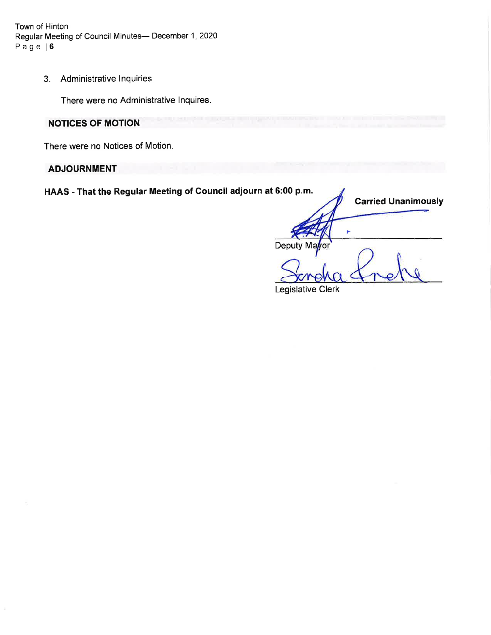Town of Hinton Regular Meeting of Council Minutes- December 1, 2020 Page | 6

3. Administrative lnquiries

There were no Administrative lnquires.

## **NOTICES OF MOTION**

There were no Notices of Motion.

## **ADJOURNMENT**

HAAS - That the Regular Meeting of Council adiourn at 6:00 p.m.

Deputy Ma Legislative Clerk Carried Unanimously r